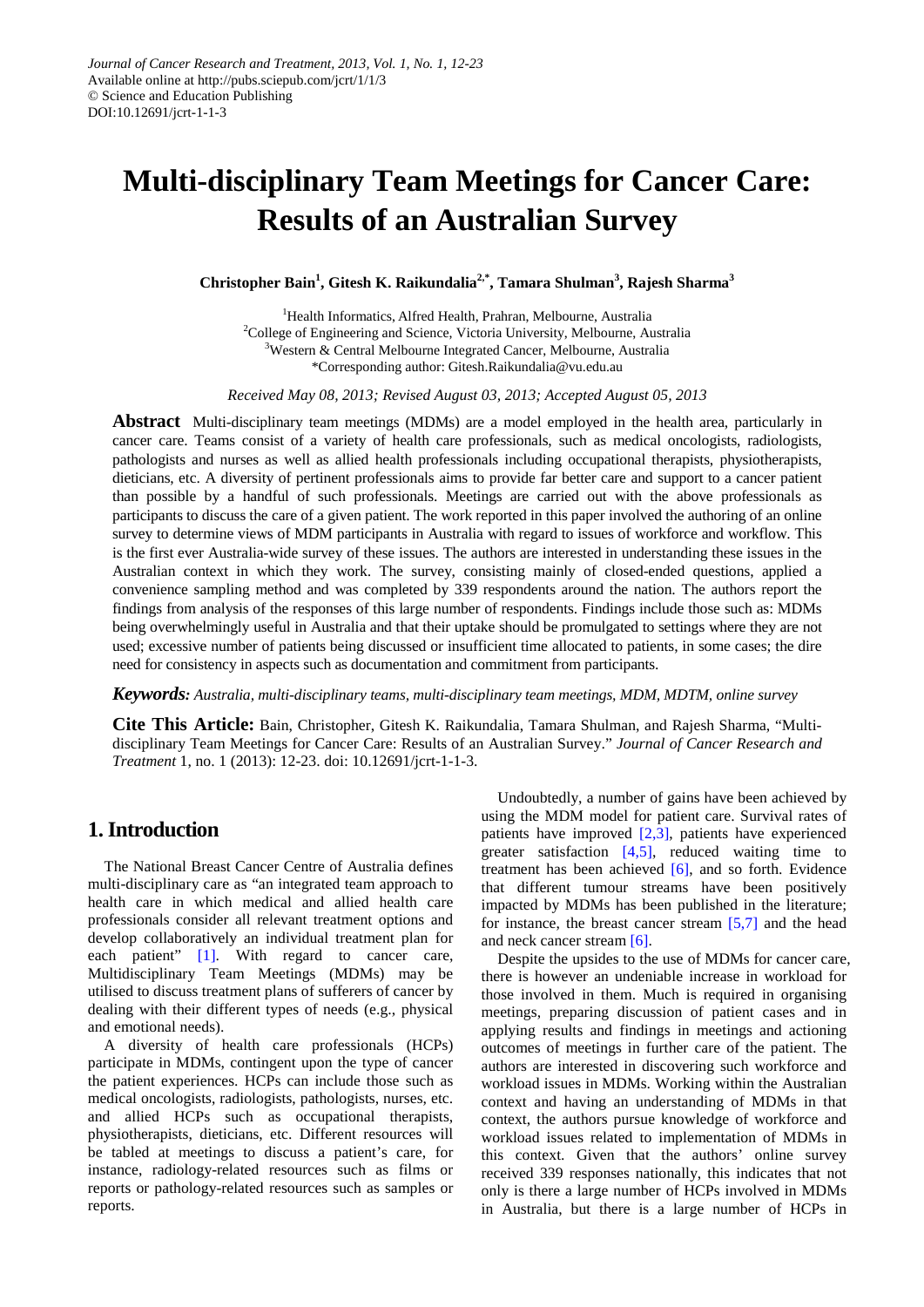# **Multi-disciplinary Team Meetings for Cancer Care: Results of an Australian Survey**

**Christopher Bain1 , Gitesh K. Raikundalia2,\*, Tamara Shulman3 , Rajesh Sharma<sup>3</sup>**

<sup>1</sup>Health Informatics, Alfred Health, Prahran, Melbourne, Australia <sup>2</sup>College of Engineering and Science, Victoria University, Melbourne, Australia <sup>3</sup>Western & Central Melbourne Integrated Cancer, Melbourne, Australia \*Corresponding author: Gitesh.Raikundalia@vu.edu.au

*Received May 08, 2013; Revised August 03, 2013; Accepted August 05, 2013*

**Abstract** Multi-disciplinary team meetings (MDMs) are a model employed in the health area, particularly in cancer care. Teams consist of a variety of health care professionals, such as medical oncologists, radiologists, pathologists and nurses as well as allied health professionals including occupational therapists, physiotherapists, dieticians, etc. A diversity of pertinent professionals aims to provide far better care and support to a cancer patient than possible by a handful of such professionals. Meetings are carried out with the above professionals as participants to discuss the care of a given patient. The work reported in this paper involved the authoring of an online survey to determine views of MDM participants in Australia with regard to issues of workforce and workflow. This is the first ever Australia-wide survey of these issues. The authors are interested in understanding these issues in the Australian context in which they work. The survey, consisting mainly of closed-ended questions, applied a convenience sampling method and was completed by 339 respondents around the nation. The authors report the findings from analysis of the responses of this large number of respondents. Findings include those such as: MDMs being overwhelmingly useful in Australia and that their uptake should be promulgated to settings where they are not used; excessive number of patients being discussed or insufficient time allocated to patients, in some cases; the dire need for consistency in aspects such as documentation and commitment from participants.

*Keywords: Australia, multi-disciplinary teams, multi-disciplinary team meetings, MDM, MDTM, online survey*

**Cite This Article:** Bain, Christopher, Gitesh K. Raikundalia, Tamara Shulman, and Rajesh Sharma, "Multidisciplinary Team Meetings for Cancer Care: Results of an Australian Survey." *Journal of Cancer Research and Treatment* 1, no. 1 (2013): 12-23. doi: 10.12691/jcrt-1-1-3.

# **1. Introduction**

The National Breast Cancer Centre of Australia defines multi-disciplinary care as "an integrated team approach to health care in which medical and allied health care professionals consider all relevant treatment options and develop collaboratively an individual treatment plan for each patient" [\[1\].](#page-8-0) With regard to cancer care, Multidisciplinary Team Meetings (MDMs) may be utilised to discuss treatment plans of sufferers of cancer by dealing with their different types of needs (e.g., physical and emotional needs).

A diversity of health care professionals (HCPs) participate in MDMs, contingent upon the type of cancer the patient experiences. HCPs can include those such as medical oncologists, radiologists, pathologists, nurses, etc. and allied HCPs such as occupational therapists, physiotherapists, dieticians, etc. Different resources will be tabled at meetings to discuss a patient's care, for instance, radiology-related resources such as films or reports or pathology-related resources such as samples or reports.

Undoubtedly, a number of gains have been achieved by using the MDM model for patient care. Survival rates of patients have improved [\[2,3\],](#page-8-1) patients have experienced greater satisfaction  $[4,5]$ , reduced waiting time to treatment has been achieved  $[6]$ , and so forth. Evidence that different tumour streams have been positively impacted by MDMs has been published in the literature; for instance, the breast cancer stream [\[5,7\]](#page-8-4) and the head and neck cancer stream [\[6\].](#page-8-3)

Despite the upsides to the use of MDMs for cancer care, there is however an undeniable increase in workload for those involved in them. Much is required in organising meetings, preparing discussion of patient cases and in applying results and findings in meetings and actioning outcomes of meetings in further care of the patient. The authors are interested in discovering such workforce and workload issues in MDMs. Working within the Australian context and having an understanding of MDMs in that context, the authors pursue knowledge of workforce and workload issues related to implementation of MDMs in this context. Given that the authors' online survey received 339 responses nationally, this indicates that not only is there a large number of HCPs involved in MDMs in Australia, but there is a large number of HCPs in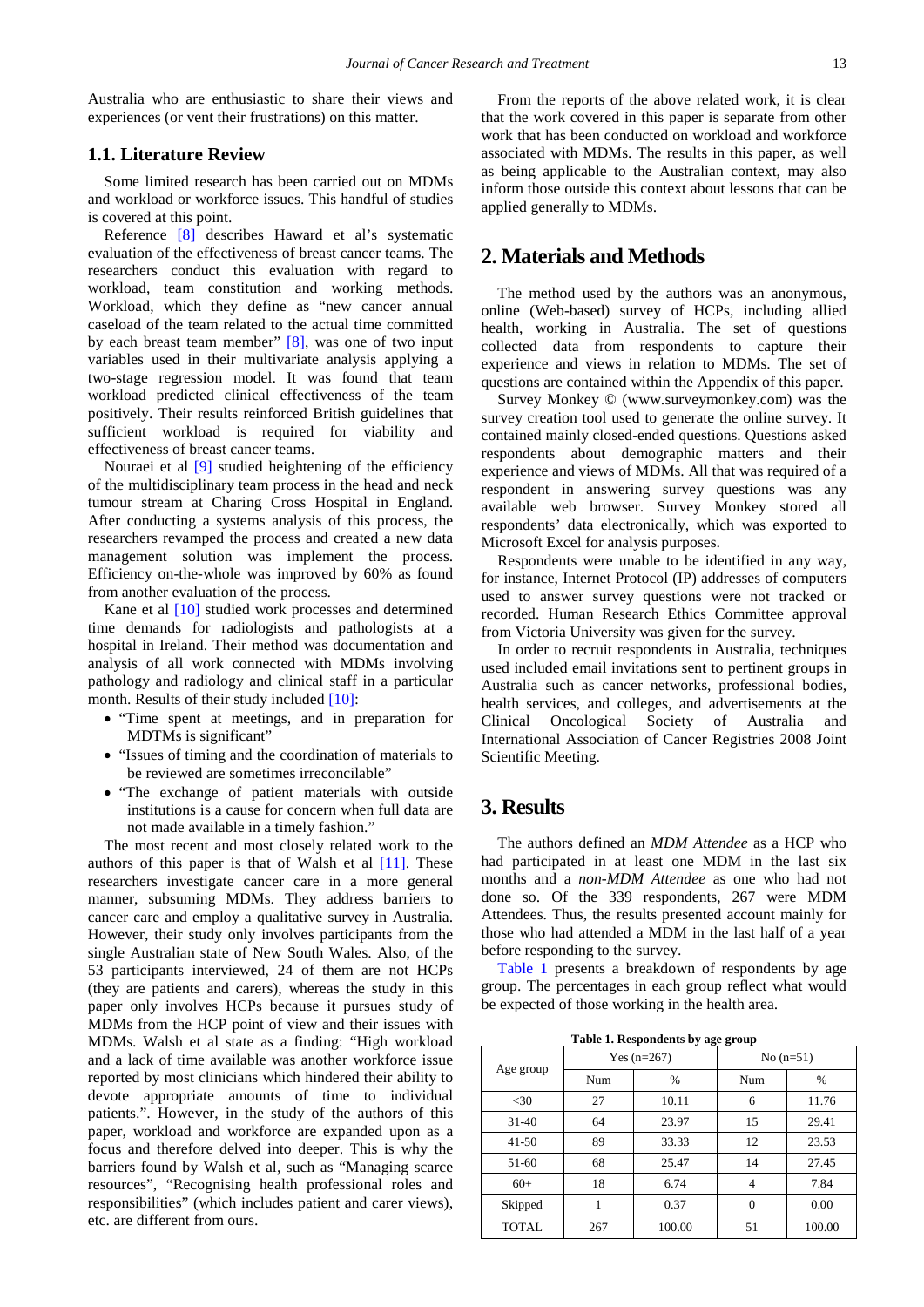Australia who are enthusiastic to share their views and experiences (or vent their frustrations) on this matter.

#### **1.1. Literature Review**

Some limited research has been carried out on MDMs and workload or workforce issues. This handful of studies is covered at this point.

Reference [\[8\]](#page-8-5) describes Haward et al's systematic evaluation of the effectiveness of breast cancer teams. The researchers conduct this evaluation with regard to workload, team constitution and working methods. Workload, which they define as "new cancer annual caseload of the team related to the actual time committed by each breast team member" [\[8\],](#page-8-5) was one of two input variables used in their multivariate analysis applying a two-stage regression model. It was found that team workload predicted clinical effectiveness of the team positively. Their results reinforced British guidelines that sufficient workload is required for viability and effectiveness of breast cancer teams.

Nouraei et al [\[9\]](#page-8-6) studied heightening of the efficiency of the multidisciplinary team process in the head and neck tumour stream at Charing Cross Hospital in England. After conducting a systems analysis of this process, the researchers revamped the process and created a new data management solution was implement the process. Efficiency on-the-whole was improved by 60% as found from another evaluation of the process.

Kane et al [\[10\]](#page-8-7) studied work processes and determined time demands for radiologists and pathologists at a hospital in Ireland. Their method was documentation and analysis of all work connected with MDMs involving pathology and radiology and clinical staff in a particular month. Results of their study included [\[10\]:](#page-8-7)

- "Time spent at meetings, and in preparation for MDTMs is significant"
- "Issues of timing and the coordination of materials to be reviewed are sometimes irreconcilable"
- "The exchange of patient materials with outside institutions is a cause for concern when full data are not made available in a timely fashion."

The most recent and most closely related work to the authors of this paper is that of Walsh et al  $[11]$ . These researchers investigate cancer care in a more general manner, subsuming MDMs. They address barriers to cancer care and employ a qualitative survey in Australia. However, their study only involves participants from the single Australian state of New South Wales. Also, of the 53 participants interviewed, 24 of them are not HCPs (they are patients and carers), whereas the study in this paper only involves HCPs because it pursues study of MDMs from the HCP point of view and their issues with MDMs. Walsh et al state as a finding: "High workload and a lack of time available was another workforce issue reported by most clinicians which hindered their ability to devote appropriate amounts of time to individual patients.". However, in the study of the authors of this paper, workload and workforce are expanded upon as a focus and therefore delved into deeper. This is why the barriers found by Walsh et al, such as "Managing scarce resources", "Recognising health professional roles and responsibilities" (which includes patient and carer views), etc. are different from ours.

From the reports of the above related work, it is clear that the work covered in this paper is separate from other work that has been conducted on workload and workforce associated with MDMs. The results in this paper, as well as being applicable to the Australian context, may also inform those outside this context about lessons that can be applied generally to MDMs.

# **2. Materials and Methods**

The method used by the authors was an anonymous, online (Web-based) survey of HCPs, including allied health, working in Australia. The set of questions collected data from respondents to capture their experience and views in relation to MDMs. The set of questions are contained within the Appendix of this paper.

Survey Monkey © (www.surveymonkey.com) was the survey creation tool used to generate the online survey. It contained mainly closed-ended questions. Questions asked respondents about demographic matters and their experience and views of MDMs. All that was required of a respondent in answering survey questions was any available web browser. Survey Monkey stored all respondents' data electronically, which was exported to Microsoft Excel for analysis purposes.

Respondents were unable to be identified in any way, for instance, Internet Protocol (IP) addresses of computers used to answer survey questions were not tracked or recorded. Human Research Ethics Committee approval from Victoria University was given for the survey.

In order to recruit respondents in Australia, techniques used included email invitations sent to pertinent groups in Australia such as cancer networks, professional bodies, health services, and colleges, and advertisements at the Clinical Oncological Society of Australia and International Association of Cancer Registries 2008 Joint Scientific Meeting.

# **3. Results**

The authors defined an *MDM Attendee* as a HCP who had participated in at least one MDM in the last six months and a *non-MDM Attendee* as one who had not done so. Of the 339 respondents, 267 were MDM Attendees. Thus, the results presented account mainly for those who had attended a MDM in the last half of a year before responding to the survey.

[Table 1](#page-1-0) presents a breakdown of respondents by age group. The percentages in each group reflect what would be expected of those working in the health area.

**Table 1. Respondents by age group**

<span id="page-1-0"></span>

| Age group    |     | Yes $(n=267)$ | No $(n=51)$ |        |  |
|--------------|-----|---------------|-------------|--------|--|
|              | Num | %             | Num         | $\%$   |  |
| $<$ 30       | 27  | 10.11         | 6           | 11.76  |  |
| $31 - 40$    | 64  | 23.97         | 15          | 29.41  |  |
| $41 - 50$    | 89  | 33.33         | 12          | 23.53  |  |
| $51-60$      | 68  | 25.47         | 14          | 27.45  |  |
| $60+$        | 18  | 6.74          | 4           | 7.84   |  |
| Skipped      |     | 0.37          | $\theta$    | 0.00   |  |
| <b>TOTAL</b> | 267 | 100.00        | 51          | 100.00 |  |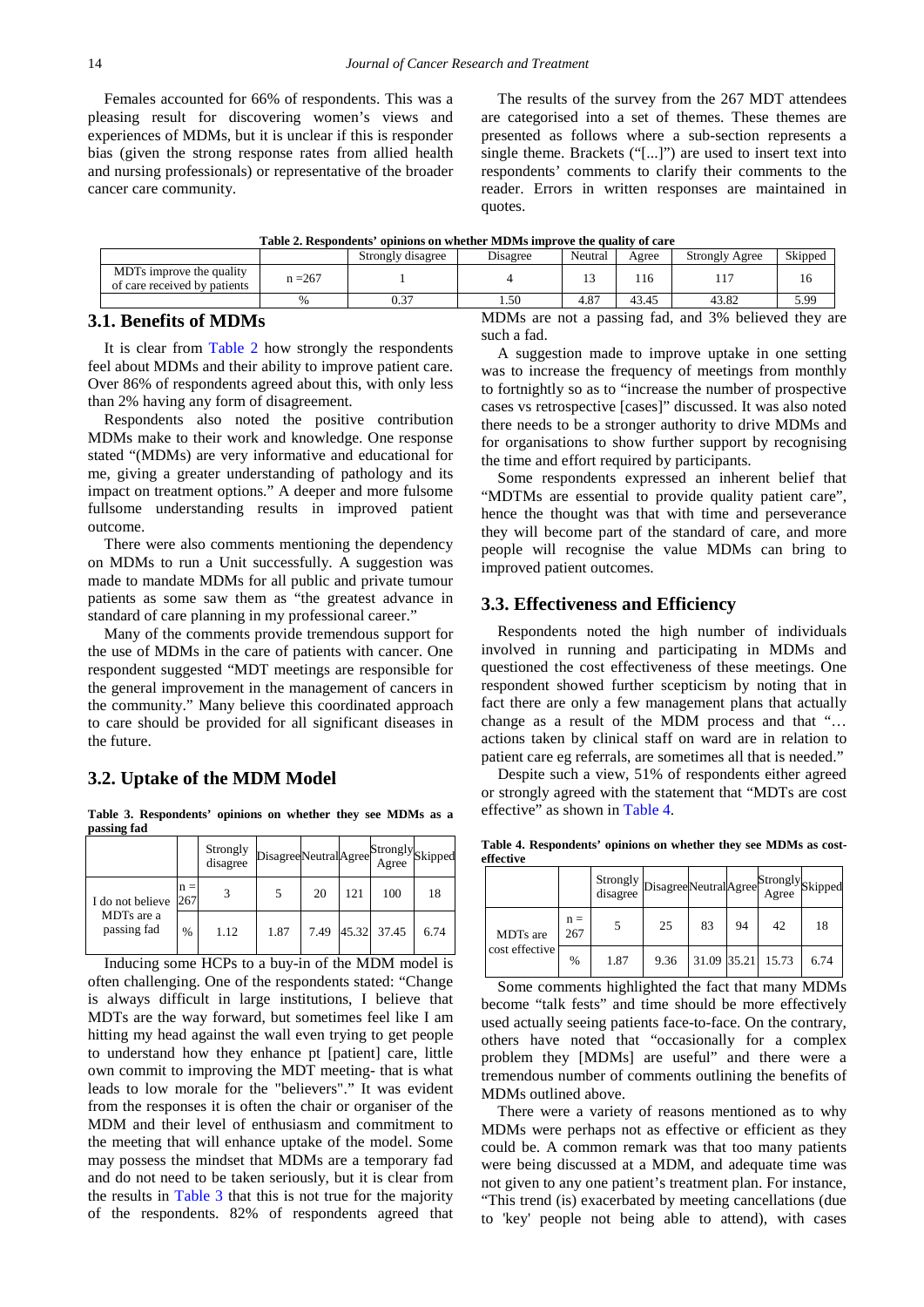Females accounted for 66% of respondents. This was a pleasing result for discovering women's views and experiences of MDMs, but it is unclear if this is responder bias (given the strong response rates from allied health and nursing professionals) or representative of the broader cancer care community.

The results of the survey from the 267 MDT attendees are categorised into a set of themes. These themes are presented as follows where a sub-section represents a single theme. Brackets ("[...]") are used to insert text into respondents' comments to clarify their comments to the reader. Errors in written responses are maintained in quotes.

|  |  |  | Table 2. Respondents' opinions on whether MDMs improve the quality of care |
|--|--|--|----------------------------------------------------------------------------|
|  |  |  |                                                                            |

<span id="page-2-0"></span>

|                                                                      |           | Strongly disagree | Disagree | Neutral    | Agree | <b>Strongly Agree</b> | Skipped |
|----------------------------------------------------------------------|-----------|-------------------|----------|------------|-------|-----------------------|---------|
| MDT <sub>s</sub> improve the quality<br>of care received by patients | $n = 267$ |                   |          | ن و        | 1 I O |                       | 16      |
|                                                                      | $\%$      | 0.37              | 1.50     | O7<br>4.0. | 43.45 | 1200<br>43.82         | 5.99    |

#### **3.1. Benefits of MDMs**

It is clear from [Table 2](#page-2-0) how strongly the respondents feel about MDMs and their ability to improve patient care. Over 86% of respondents agreed about this, with only less than 2% having any form of disagreement.

Respondents also noted the positive contribution MDMs make to their work and knowledge. One response stated "(MDMs) are very informative and educational for me, giving a greater understanding of pathology and its impact on treatment options." A deeper and more fulsome fullsome understanding results in improved patient outcome.

There were also comments mentioning the dependency on MDMs to run a Unit successfully. A suggestion was made to mandate MDMs for all public and private tumour patients as some saw them as "the greatest advance in standard of care planning in my professional career."

Many of the comments provide tremendous support for the use of MDMs in the care of patients with cancer. One respondent suggested "MDT meetings are responsible for the general improvement in the management of cancers in the community." Many believe this coordinated approach to care should be provided for all significant diseases in the future.

#### **3.2. Uptake of the MDM Model**

**Table 3. Respondents' opinions on whether they see MDMs as a passing fad**

<span id="page-2-1"></span>

|                                               |              | Strongly<br>disagree | DisagreeNeutralAgree |      |     | [Strongly <sub>Skipped</sub> ]<br>Agree |      |
|-----------------------------------------------|--------------|----------------------|----------------------|------|-----|-----------------------------------------|------|
| I do not believe<br>MDTs are a<br>passing fad | $n =$<br>267 |                      |                      | 20   | 121 | 100                                     | 18   |
|                                               | $\%$         | 1.12                 | 1.87                 | 7.49 |     | 45.32 37.45                             | 6.74 |

Inducing some HCPs to a buy-in of the MDM model is often challenging. One of the respondents stated: "Change is always difficult in large institutions, I believe that MDTs are the way forward, but sometimes feel like I am hitting my head against the wall even trying to get people to understand how they enhance pt [patient] care, little own commit to improving the MDT meeting- that is what leads to low morale for the "believers"." It was evident from the responses it is often the chair or organiser of the MDM and their level of enthusiasm and commitment to the meeting that will enhance uptake of the model. Some may possess the mindset that MDMs are a temporary fad and do not need to be taken seriously, but it is clear from the results in [Table 3](#page-2-1) that this is not true for the majority of the respondents. 82% of respondents agreed that

MDMs are not a passing fad, and 3% believed they are such a fad.

A suggestion made to improve uptake in one setting was to increase the frequency of meetings from monthly to fortnightly so as to "increase the number of prospective cases vs retrospective [cases]" discussed. It was also noted there needs to be a stronger authority to drive MDMs and for organisations to show further support by recognising the time and effort required by participants.

Some respondents expressed an inherent belief that "MDTMs are essential to provide quality patient care", hence the thought was that with time and perseverance they will become part of the standard of care, and more people will recognise the value MDMs can bring to improved patient outcomes.

#### **3.3. Effectiveness and Efficiency**

Respondents noted the high number of individuals involved in running and participating in MDMs and questioned the cost effectiveness of these meetings. One respondent showed further scepticism by noting that in fact there are only a few management plans that actually change as a result of the MDM process and that "… actions taken by clinical staff on ward are in relation to patient care eg referrals, are sometimes all that is needed."

Despite such a view, 51% of respondents either agreed or strongly agreed with the statement that "MDTs are cost effective" as shown in [Table 4.](#page-2-2)

**Table 4. Respondents' opinions on whether they see MDMs as costeffective**

<span id="page-2-2"></span>

|                            |              | Strongly DisagreeNeutralAgree<br>disagree |      |             |    | StronglySkipped<br>Agree |      |
|----------------------------|--------------|-------------------------------------------|------|-------------|----|--------------------------|------|
| MDTs are<br>cost effective | $n =$<br>267 |                                           | 25   | 83          | 94 | 42                       | 18   |
|                            | $\%$         | 1.87                                      | 9.36 | 31.09 35.21 |    | 15.73                    | 6.74 |

Some comments highlighted the fact that many MDMs become "talk fests" and time should be more effectively used actually seeing patients face-to-face. On the contrary, others have noted that "occasionally for a complex problem they [MDMs] are useful" and there were a tremendous number of comments outlining the benefits of MDMs outlined above.

There were a variety of reasons mentioned as to why MDMs were perhaps not as effective or efficient as they could be. A common remark was that too many patients were being discussed at a MDM, and adequate time was not given to any one patient's treatment plan. For instance, "This trend (is) exacerbated by meeting cancellations (due to 'key' people not being able to attend), with cases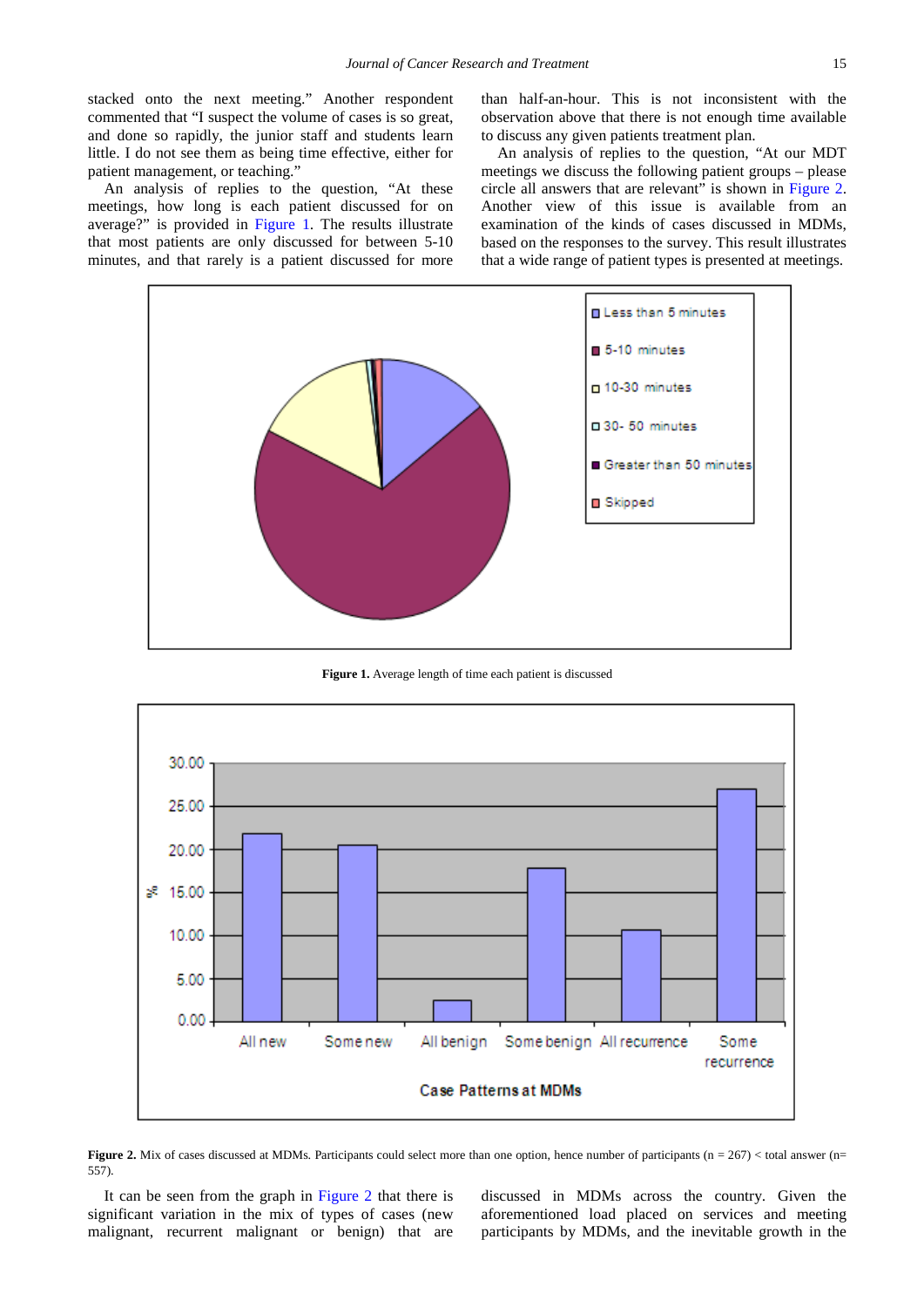stacked onto the next meeting." Another respondent commented that "I suspect the volume of cases is so great, and done so rapidly, the junior staff and students learn little. I do not see them as being time effective, either for patient management, or teaching."

An analysis of replies to the question, "At these meetings, how long is each patient discussed for on average?" is provided in [Figure 1.](#page-3-0) The results illustrate that most patients are only discussed for between 5-10 minutes, and that rarely is a patient discussed for more

than half-an-hour. This is not inconsistent with the observation above that there is not enough time available to discuss any given patients treatment plan.

An analysis of replies to the question, "At our MDT meetings we discuss the following patient groups – please circle all answers that are relevant" is shown in [Figure 2.](#page-3-1) Another view of this issue is available from an examination of the kinds of cases discussed in MDMs, based on the responses to the survey. This result illustrates that a wide range of patient types is presented at meetings.

<span id="page-3-0"></span>

**Figure 1.** Average length of time each patient is discussed

<span id="page-3-1"></span>

**Figure 2.** Mix of cases discussed at MDMs. Participants could select more than one option, hence number of participants ( $n = 267$ ) < total answer ( $n =$ 557).

It can be seen from the graph in [Figure 2](#page-3-1) that there is significant variation in the mix of types of cases (new malignant, recurrent malignant or benign) that are discussed in MDMs across the country. Given the aforementioned load placed on services and meeting participants by MDMs, and the inevitable growth in the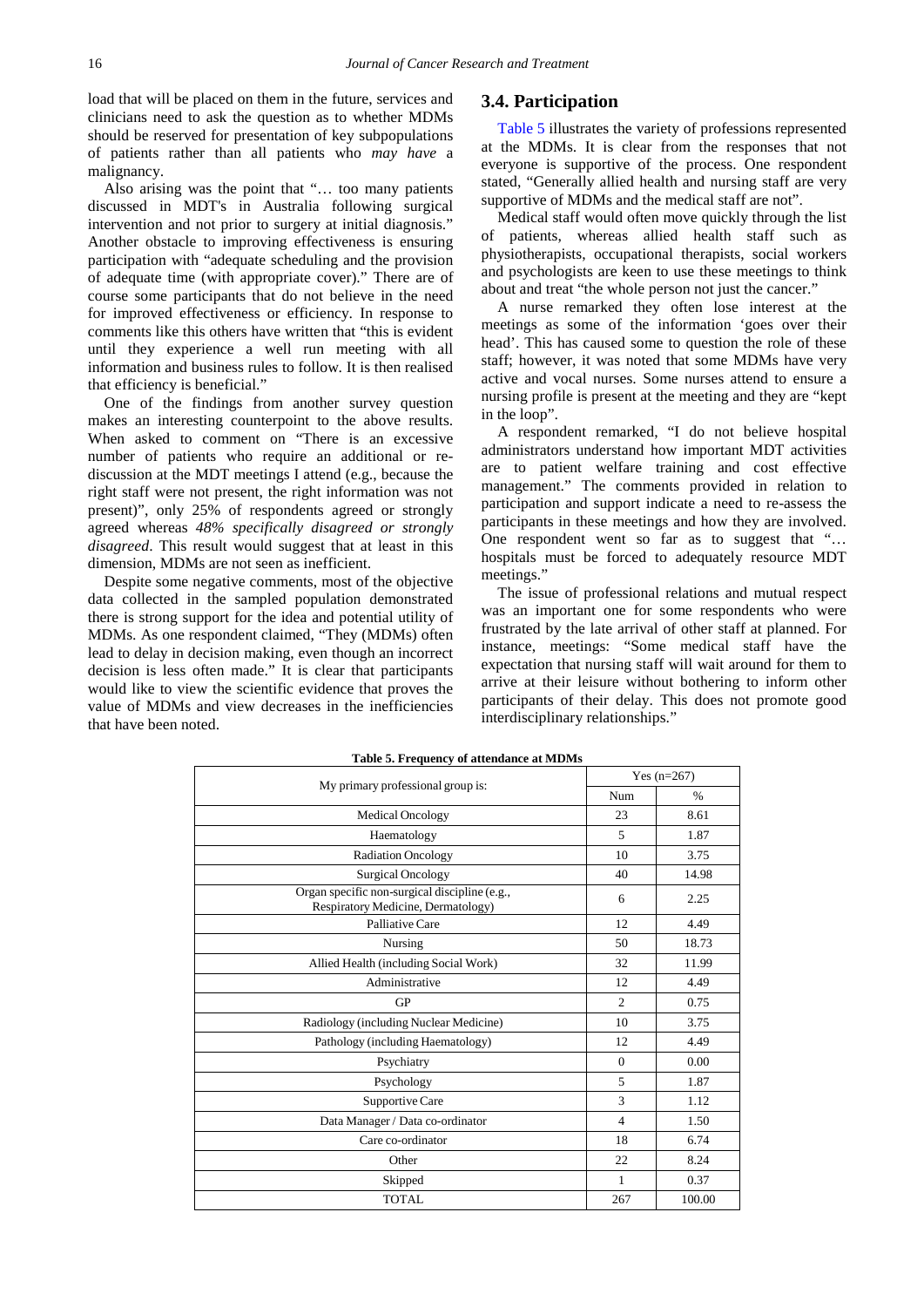load that will be placed on them in the future, services and clinicians need to ask the question as to whether MDMs should be reserved for presentation of key subpopulations of patients rather than all patients who *may have* a malignancy.

Also arising was the point that "… too many patients discussed in MDT's in Australia following surgical intervention and not prior to surgery at initial diagnosis." Another obstacle to improving effectiveness is ensuring participation with "adequate scheduling and the provision of adequate time (with appropriate cover)." There are of course some participants that do not believe in the need for improved effectiveness or efficiency. In response to comments like this others have written that "this is evident until they experience a well run meeting with all information and business rules to follow. It is then realised that efficiency is beneficial."

One of the findings from another survey question makes an interesting counterpoint to the above results. When asked to comment on "There is an excessive number of patients who require an additional or rediscussion at the MDT meetings I attend (e.g., because the right staff were not present, the right information was not present)", only 25% of respondents agreed or strongly agreed whereas *48% specifically disagreed or strongly disagreed*. This result would suggest that at least in this dimension, MDMs are not seen as inefficient.

Despite some negative comments, most of the objective data collected in the sampled population demonstrated there is strong support for the idea and potential utility of MDMs. As one respondent claimed, "They (MDMs) often lead to delay in decision making, even though an incorrect decision is less often made." It is clear that participants would like to view the scientific evidence that proves the value of MDMs and view decreases in the inefficiencies that have been noted.

#### **3.4. Participation**

[Table 5](#page-4-0) illustrates the variety of professions represented at the MDMs. It is clear from the responses that not everyone is supportive of the process. One respondent stated, "Generally allied health and nursing staff are very supportive of MDMs and the medical staff are not".

Medical staff would often move quickly through the list of patients, whereas allied health staff such as physiotherapists, occupational therapists, social workers and psychologists are keen to use these meetings to think about and treat "the whole person not just the cancer."

A nurse remarked they often lose interest at the meetings as some of the information 'goes over their head'. This has caused some to question the role of these staff; however, it was noted that some MDMs have very active and vocal nurses. Some nurses attend to ensure a nursing profile is present at the meeting and they are "kept in the loop".

A respondent remarked, "I do not believe hospital administrators understand how important MDT activities are to patient welfare training and cost effective management." The comments provided in relation to participation and support indicate a need to re-assess the participants in these meetings and how they are involved. One respondent went so far as to suggest that "… hospitals must be forced to adequately resource MDT meetings."

The issue of professional relations and mutual respect was an important one for some respondents who were frustrated by the late arrival of other staff at planned. For instance, meetings: "Some medical staff have the expectation that nursing staff will wait around for them to arrive at their leisure without bothering to inform other participants of their delay. This does not promote good interdisciplinary relationships."

<span id="page-4-0"></span>

| rushe et receptency or attenuance at midnes                                         |                |               |
|-------------------------------------------------------------------------------------|----------------|---------------|
|                                                                                     |                | Yes $(n=267)$ |
| My primary professional group is:                                                   | Num            | $\%$          |
| <b>Medical Oncology</b>                                                             | 23             | 8.61          |
| Haematology                                                                         | 5              | 1.87          |
| <b>Radiation Oncology</b>                                                           | 10             | 3.75          |
| <b>Surgical Oncology</b>                                                            | 40             | 14.98         |
| Organ specific non-surgical discipline (e.g.,<br>Respiratory Medicine, Dermatology) | 6              | 2.25          |
| Palliative Care                                                                     | 12             | 4.49          |
| Nursing                                                                             | 50             | 18.73         |
| Allied Health (including Social Work)                                               | 32             | 11.99         |
| Administrative                                                                      | 12             | 4.49          |
| <b>GP</b>                                                                           | $\overline{c}$ | 0.75          |
| Radiology (including Nuclear Medicine)                                              | 10             | 3.75          |
| Pathology (including Haematology)                                                   | 12             | 4.49          |
| Psychiatry                                                                          | $\Omega$       | 0.00          |
| Psychology                                                                          | 5              | 1.87          |
| Supportive Care                                                                     | 3              | 1.12          |
| Data Manager / Data co-ordinator                                                    | $\overline{4}$ | 1.50          |
| Care co-ordinator                                                                   | 18             | 6.74          |
| Other                                                                               | 22             | 8.24          |
| Skipped                                                                             | 1              | 0.37          |
| <b>TOTAL</b>                                                                        | 267            | 100.00        |

**Table 5. Frequency of attendance at MDMs**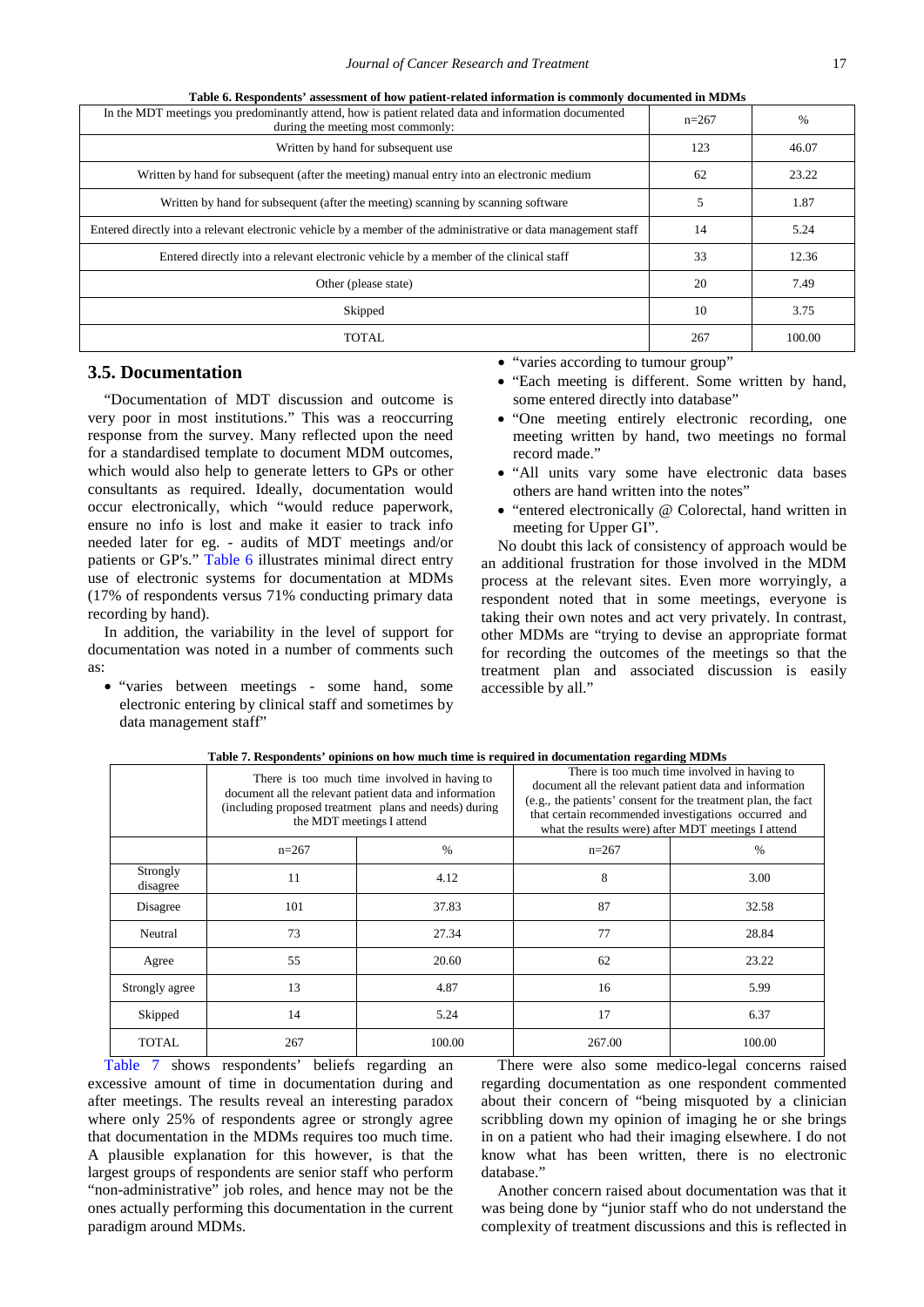<span id="page-5-0"></span>

| In the MDT meetings you predominantly attend, how is patient related data and information documented<br>during the meeting most commonly: | $n=267$ | %      |
|-------------------------------------------------------------------------------------------------------------------------------------------|---------|--------|
| Written by hand for subsequent use                                                                                                        | 123     | 46.07  |
| Written by hand for subsequent (after the meeting) manual entry into an electronic medium                                                 | 62      | 23.22  |
| Written by hand for subsequent (after the meeting) scanning by scanning software                                                          | 5       | 1.87   |
| Entered directly into a relevant electronic vehicle by a member of the administrative or data management staff                            | 14      | 5.24   |
| Entered directly into a relevant electronic vehicle by a member of the clinical staff                                                     | 33      | 12.36  |
| Other (please state)                                                                                                                      | 20      | 7.49   |
| Skipped                                                                                                                                   | 10      | 3.75   |
| <b>TOTAL</b>                                                                                                                              | 267     | 100.00 |

| Table 6. Respondents' assessment of how patient-related information is commonly documented in MDMs |  |  |  |
|----------------------------------------------------------------------------------------------------|--|--|--|
|                                                                                                    |  |  |  |

#### **3.5. Documentation**

"Documentation of MDT discussion and outcome is very poor in most institutions." This was a reoccurring response from the survey. Many reflected upon the need for a standardised template to document MDM outcomes, which would also help to generate letters to GPs or other consultants as required. Ideally, documentation would occur electronically, which "would reduce paperwork, ensure no info is lost and make it easier to track info needed later for eg. - audits of MDT meetings and/or patients or GP's." [Table 6](#page-5-0) illustrates minimal direct entry use of electronic systems for documentation at MDMs (17% of respondents versus 71% conducting primary data recording by hand).

In addition, the variability in the level of support for documentation was noted in a number of comments such as:

• "varies between meetings - some hand, some electronic entering by clinical staff and sometimes by data management staff"

|  |  | "varies according to tumour group" |  |  |  |  |
|--|--|------------------------------------|--|--|--|--|
|--|--|------------------------------------|--|--|--|--|

- "Each meeting is different. Some written by hand, some entered directly into database"
- "One meeting entirely electronic recording, one meeting written by hand, two meetings no formal record made."
- "All units vary some have electronic data bases others are hand written into the notes"
- "entered electronically @ Colorectal, hand written in meeting for Upper GI".

No doubt this lack of consistency of approach would be an additional frustration for those involved in the MDM process at the relevant sites. Even more worryingly, a respondent noted that in some meetings, everyone is taking their own notes and act very privately. In contrast, other MDMs are "trying to devise an appropriate format for recording the outcomes of the meetings so that the treatment plan and associated discussion is easily accessible by all."

<span id="page-5-1"></span>

|                      |         | There is too much time involved in having to<br>document all the relevant patient data and information<br>(including proposed treatment plans and needs) during<br>the MDT meetings I attend | document all the relevant patient data and information<br>(e.g., the patients' consent for the treatment plan, the fact<br>that certain recommended investigations occurred and<br>what the results were) after MDT meetings I attend | There is too much time involved in having to |
|----------------------|---------|----------------------------------------------------------------------------------------------------------------------------------------------------------------------------------------------|---------------------------------------------------------------------------------------------------------------------------------------------------------------------------------------------------------------------------------------|----------------------------------------------|
|                      | $n=267$ | $\%$                                                                                                                                                                                         | $n=267$                                                                                                                                                                                                                               | $\%$                                         |
| Strongly<br>disagree | 11      | 4.12                                                                                                                                                                                         | 8                                                                                                                                                                                                                                     | 3.00                                         |
| Disagree             | 101     | 37.83                                                                                                                                                                                        | 87                                                                                                                                                                                                                                    | 32.58                                        |
| Neutral              | 73      | 27.34                                                                                                                                                                                        | 77                                                                                                                                                                                                                                    | 28.84                                        |
| Agree                | 55      | 20.60                                                                                                                                                                                        | 62                                                                                                                                                                                                                                    | 23.22                                        |
| Strongly agree       | 13      | 4.87                                                                                                                                                                                         | 16                                                                                                                                                                                                                                    | 5.99                                         |
| Skipped              | 14      | 5.24                                                                                                                                                                                         | 17                                                                                                                                                                                                                                    | 6.37                                         |
| TOTAL                | 267     | 100.00                                                                                                                                                                                       | 267.00                                                                                                                                                                                                                                | 100.00                                       |

**Table 7. Respondents' opinions on how much time is required in documentation regarding MDMs**

[Table 7](#page-5-1) shows respondents' beliefs regarding an excessive amount of time in documentation during and after meetings. The results reveal an interesting paradox where only 25% of respondents agree or strongly agree that documentation in the MDMs requires too much time. A plausible explanation for this however, is that the largest groups of respondents are senior staff who perform "non-administrative" job roles, and hence may not be the ones actually performing this documentation in the current paradigm around MDMs.

There were also some medico-legal concerns raised regarding documentation as one respondent commented about their concern of "being misquoted by a clinician scribbling down my opinion of imaging he or she brings in on a patient who had their imaging elsewhere. I do not know what has been written, there is no electronic database."

Another concern raised about documentation was that it was being done by "junior staff who do not understand the complexity of treatment discussions and this is reflected in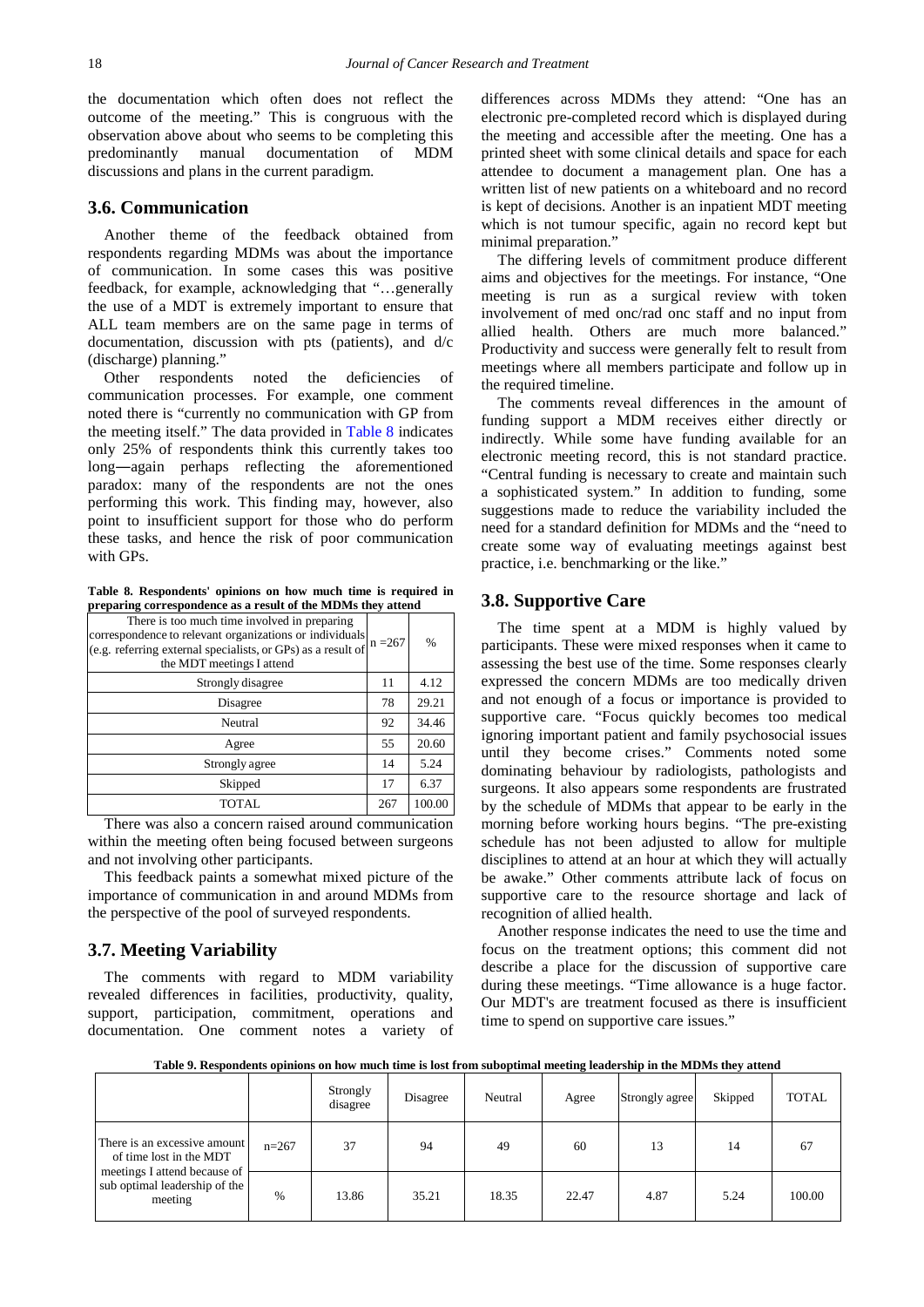the documentation which often does not reflect the outcome of the meeting." This is congruous with the observation above about who seems to be completing this predominantly manual documentation of MDM discussions and plans in the current paradigm.

#### **3.6. Communication**

Another theme of the feedback obtained from respondents regarding MDMs was about the importance of communication. In some cases this was positive feedback, for example, acknowledging that "…generally the use of a MDT is extremely important to ensure that ALL team members are on the same page in terms of documentation, discussion with pts (patients), and d/c (discharge) planning."

Other respondents noted the deficiencies of communication processes. For example, one comment noted there is "currently no communication with GP from the meeting itself." The data provided in [Table 8](#page-6-0) indicates only 25% of respondents think this currently takes too long―again perhaps reflecting the aforementioned paradox: many of the respondents are not the ones performing this work. This finding may, however, also point to insufficient support for those who do perform these tasks, and hence the risk of poor communication with GPs.

**Table 8. Respondents' opinions on how much time is required in preparing correspondence as a result of the MDMs they attend**

<span id="page-6-0"></span>

| There is too much time involved in preparing<br>correspondence to relevant organizations or individuals<br>(e.g. referring external specialists, or GPs) as a result of<br>the MDT meetings I attend | $n = 267$ | $\%$   |
|------------------------------------------------------------------------------------------------------------------------------------------------------------------------------------------------------|-----------|--------|
| Strongly disagree                                                                                                                                                                                    | 11        | 4.12   |
| Disagree                                                                                                                                                                                             | 78        | 29.21  |
| Neutral                                                                                                                                                                                              | 92        | 34.46  |
| Agree                                                                                                                                                                                                | 55        | 20.60  |
| Strongly agree                                                                                                                                                                                       | 14        | 5.24   |
| Skipped                                                                                                                                                                                              | 17        | 6.37   |
| TOTAL                                                                                                                                                                                                | 267       | 100.00 |

There was also a concern raised around communication within the meeting often being focused between surgeons and not involving other participants.

This feedback paints a somewhat mixed picture of the importance of communication in and around MDMs from the perspective of the pool of surveyed respondents.

#### **3.7. Meeting Variability**

The comments with regard to MDM variability revealed differences in facilities, productivity, quality, support, participation, commitment, operations and documentation. One comment notes a variety of differences across MDMs they attend: "One has an electronic pre-completed record which is displayed during the meeting and accessible after the meeting. One has a printed sheet with some clinical details and space for each attendee to document a management plan. One has a written list of new patients on a whiteboard and no record is kept of decisions. Another is an inpatient MDT meeting which is not tumour specific, again no record kept but minimal preparation."

The differing levels of commitment produce different aims and objectives for the meetings. For instance, "One meeting is run as a surgical review with token involvement of med onc/rad onc staff and no input from allied health. Others are much more balanced." Productivity and success were generally felt to result from meetings where all members participate and follow up in the required timeline.

The comments reveal differences in the amount of funding support a MDM receives either directly or indirectly. While some have funding available for an electronic meeting record, this is not standard practice. "Central funding is necessary to create and maintain such a sophisticated system." In addition to funding, some suggestions made to reduce the variability included the need for a standard definition for MDMs and the "need to create some way of evaluating meetings against best practice, i.e. benchmarking or the like."

#### **3.8. Supportive Care**

The time spent at a MDM is highly valued by participants. These were mixed responses when it came to assessing the best use of the time. Some responses clearly expressed the concern MDMs are too medically driven and not enough of a focus or importance is provided to supportive care. "Focus quickly becomes too medical ignoring important patient and family psychosocial issues until they become crises." Comments noted some dominating behaviour by radiologists, pathologists and surgeons. It also appears some respondents are frustrated by the schedule of MDMs that appear to be early in the morning before working hours begins. "The pre-existing schedule has not been adjusted to allow for multiple disciplines to attend at an hour at which they will actually be awake." Other comments attribute lack of focus on supportive care to the resource shortage and lack of recognition of allied health.

Another response indicates the need to use the time and focus on the treatment options; this comment did not describe a place for the discussion of supportive care during these meetings. "Time allowance is a huge factor. Our MDT's are treatment focused as there is insufficient time to spend on supportive care issues."

**Table 9. Respondents opinions on how much time is lost from suboptimal meeting leadership in the MDMs they attend**

<span id="page-6-1"></span>

|                                                                                                                                     |         | Strongly<br>disagree | Disagree | Neutral | Agree | Strongly agree | Skipped | <b>TOTAL</b> |
|-------------------------------------------------------------------------------------------------------------------------------------|---------|----------------------|----------|---------|-------|----------------|---------|--------------|
| There is an excessive amount<br>of time lost in the MDT<br>meetings I attend because of<br>sub optimal leadership of the<br>meeting | $n=267$ | 37                   | 94       | 49      | 60    | 13             | 14      | 67           |
|                                                                                                                                     | %       | 13.86                | 35.21    | 18.35   | 22.47 | 4.87           | 5.24    | 100.00       |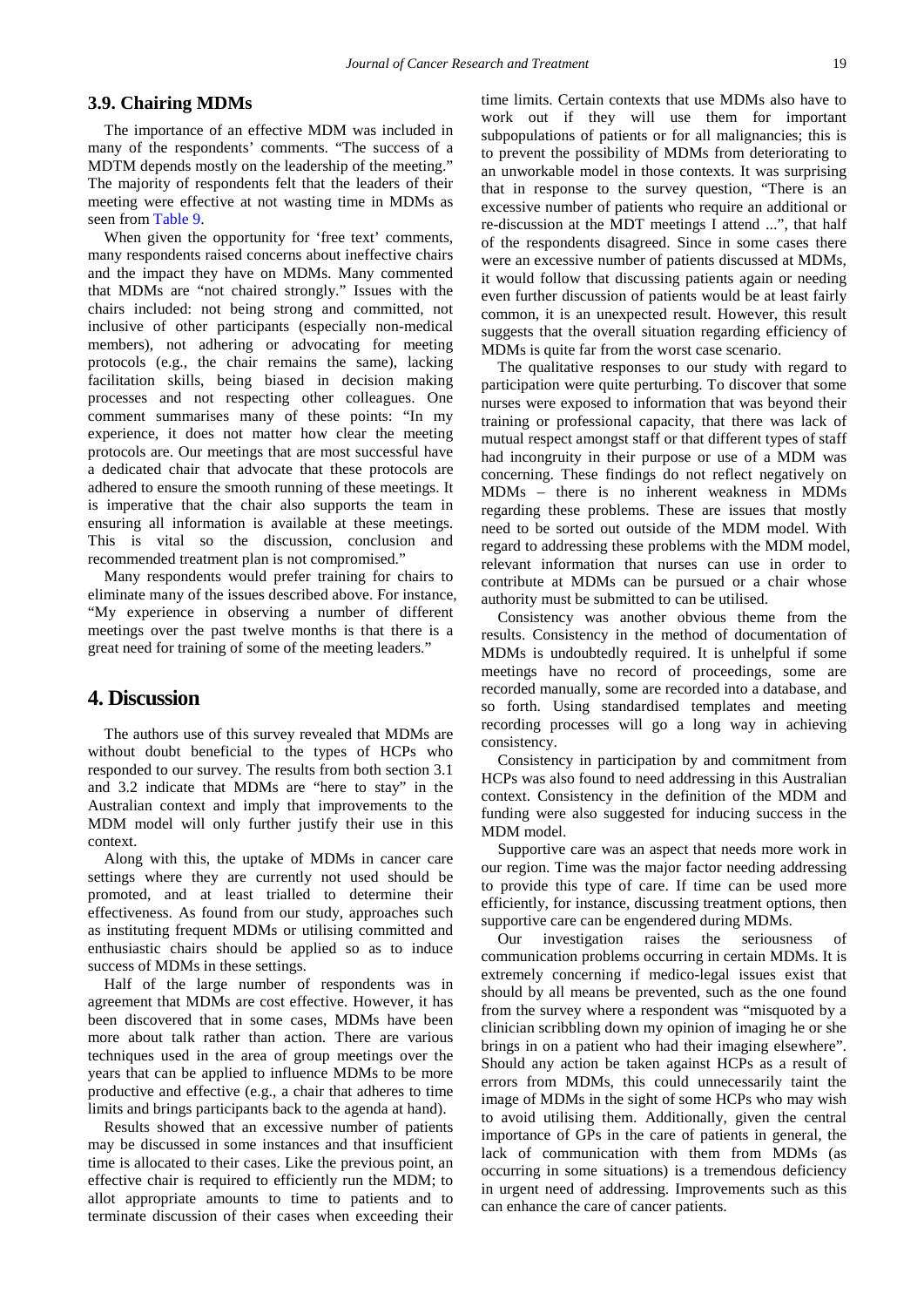#### **3.9. Chairing MDMs**

The importance of an effective MDM was included in many of the respondents' comments. "The success of a MDTM depends mostly on the leadership of the meeting." The majority of respondents felt that the leaders of their meeting were effective at not wasting time in MDMs as seen from [Table 9.](#page-6-1)

When given the opportunity for 'free text' comments, many respondents raised concerns about ineffective chairs and the impact they have on MDMs. Many commented that MDMs are "not chaired strongly." Issues with the chairs included: not being strong and committed, not inclusive of other participants (especially non-medical members), not adhering or advocating for meeting protocols (e.g., the chair remains the same), lacking facilitation skills, being biased in decision making processes and not respecting other colleagues. One comment summarises many of these points: "In my experience, it does not matter how clear the meeting protocols are. Our meetings that are most successful have a dedicated chair that advocate that these protocols are adhered to ensure the smooth running of these meetings. It is imperative that the chair also supports the team in ensuring all information is available at these meetings. This is vital so the discussion, conclusion and recommended treatment plan is not compromised."

Many respondents would prefer training for chairs to eliminate many of the issues described above. For instance, "My experience in observing a number of different meetings over the past twelve months is that there is a great need for training of some of the meeting leaders."

## **4. Discussion**

The authors use of this survey revealed that MDMs are without doubt beneficial to the types of HCPs who responded to our survey. The results from both section 3.1 and 3.2 indicate that MDMs are "here to stay" in the Australian context and imply that improvements to the MDM model will only further justify their use in this context.

Along with this, the uptake of MDMs in cancer care settings where they are currently not used should be promoted, and at least trialled to determine their effectiveness. As found from our study, approaches such as instituting frequent MDMs or utilising committed and enthusiastic chairs should be applied so as to induce success of MDMs in these settings.

Half of the large number of respondents was in agreement that MDMs are cost effective. However, it has been discovered that in some cases, MDMs have been more about talk rather than action. There are various techniques used in the area of group meetings over the years that can be applied to influence MDMs to be more productive and effective (e.g., a chair that adheres to time limits and brings participants back to the agenda at hand).

Results showed that an excessive number of patients may be discussed in some instances and that insufficient time is allocated to their cases. Like the previous point, an effective chair is required to efficiently run the MDM; to allot appropriate amounts to time to patients and to terminate discussion of their cases when exceeding their time limits. Certain contexts that use MDMs also have to work out if they will use them for important subpopulations of patients or for all malignancies; this is to prevent the possibility of MDMs from deteriorating to an unworkable model in those contexts. It was surprising that in response to the survey question, "There is an excessive number of patients who require an additional or re-discussion at the MDT meetings I attend ...", that half of the respondents disagreed. Since in some cases there were an excessive number of patients discussed at MDMs, it would follow that discussing patients again or needing even further discussion of patients would be at least fairly common, it is an unexpected result. However, this result suggests that the overall situation regarding efficiency of MDMs is quite far from the worst case scenario.

The qualitative responses to our study with regard to participation were quite perturbing. To discover that some nurses were exposed to information that was beyond their training or professional capacity, that there was lack of mutual respect amongst staff or that different types of staff had incongruity in their purpose or use of a MDM was concerning. These findings do not reflect negatively on MDMs – there is no inherent weakness in MDMs regarding these problems. These are issues that mostly need to be sorted out outside of the MDM model. With regard to addressing these problems with the MDM model, relevant information that nurses can use in order to contribute at MDMs can be pursued or a chair whose authority must be submitted to can be utilised.

Consistency was another obvious theme from the results. Consistency in the method of documentation of MDMs is undoubtedly required. It is unhelpful if some meetings have no record of proceedings, some are recorded manually, some are recorded into a database, and so forth. Using standardised templates and meeting recording processes will go a long way in achieving consistency.

Consistency in participation by and commitment from HCPs was also found to need addressing in this Australian context. Consistency in the definition of the MDM and funding were also suggested for inducing success in the MDM model.

Supportive care was an aspect that needs more work in our region. Time was the major factor needing addressing to provide this type of care. If time can be used more efficiently, for instance, discussing treatment options, then supportive care can be engendered during MDMs.

Our investigation raises the seriousness of communication problems occurring in certain MDMs. It is extremely concerning if medico-legal issues exist that should by all means be prevented, such as the one found from the survey where a respondent was "misquoted by a clinician scribbling down my opinion of imaging he or she brings in on a patient who had their imaging elsewhere". Should any action be taken against HCPs as a result of errors from MDMs, this could unnecessarily taint the image of MDMs in the sight of some HCPs who may wish to avoid utilising them. Additionally, given the central importance of GPs in the care of patients in general, the lack of communication with them from MDMs (as occurring in some situations) is a tremendous deficiency in urgent need of addressing. Improvements such as this can enhance the care of cancer patients.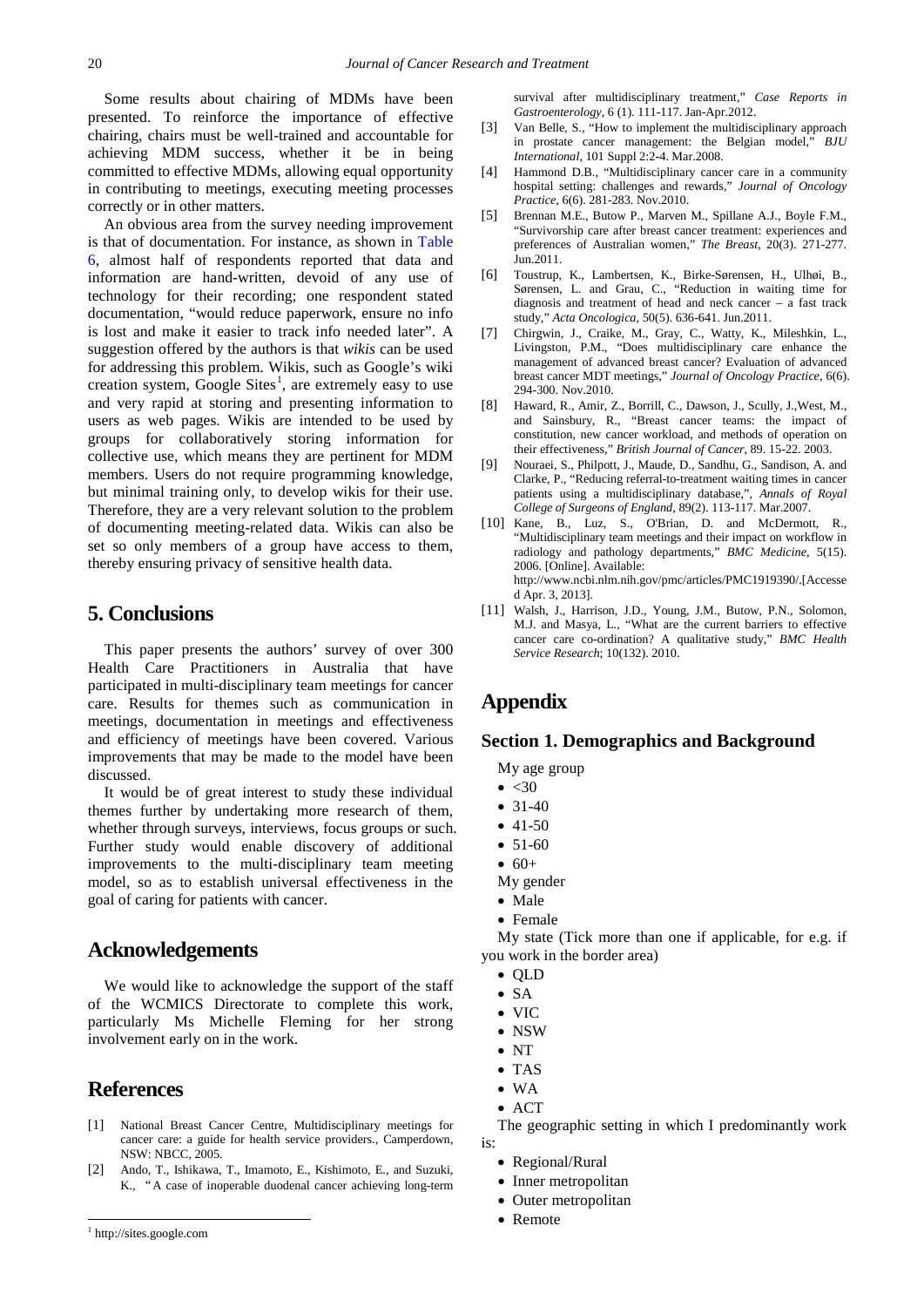Some results about chairing of MDMs have been presented. To reinforce the importance of effective chairing, chairs must be well-trained and accountable for achieving MDM success, whether it be in being committed to effective MDMs, allowing equal opportunity in contributing to meetings, executing meeting processes correctly or in other matters.

An obvious area from the survey needing improvement is that of documentation. For instance, as shown in [Table](#page-5-0)  [6,](#page-5-0) almost half of respondents reported that data and information are hand-written, devoid of any use of technology for their recording; one respondent stated documentation, "would reduce paperwork, ensure no info is lost and make it easier to track info needed later". A suggestion offered by the authors is that *wikis* can be used for addressing this problem. Wikis, such as Google's wiki creation system, Google Sites<sup>[1](#page-8-9)</sup>, are extremely easy to use and very rapid at storing and presenting information to users as web pages. Wikis are intended to be used by groups for collaboratively storing information for collective use, which means they are pertinent for MDM members. Users do not require programming knowledge, but minimal training only, to develop wikis for their use. Therefore, they are a very relevant solution to the problem of documenting meeting-related data. Wikis can also be set so only members of a group have access to them, thereby ensuring privacy of sensitive health data.

## **5. Conclusions**

This paper presents the authors' survey of over 300 Health Care Practitioners in Australia that have participated in multi-disciplinary team meetings for cancer care. Results for themes such as communication in meetings, documentation in meetings and effectiveness and efficiency of meetings have been covered. Various improvements that may be made to the model have been discussed.

It would be of great interest to study these individual themes further by undertaking more research of them, whether through surveys, interviews, focus groups or such. Further study would enable discovery of additional improvements to the multi-disciplinary team meeting model, so as to establish universal effectiveness in the goal of caring for patients with cancer.

### **Acknowledgements**

We would like to acknowledge the support of the staff of the WCMICS Directorate to complete this work, particularly Ms Michelle Fleming for her strong involvement early on in the work.

## **References**

- <span id="page-8-0"></span>[1] National Breast Cancer Centre, Multidisciplinary meetings for cancer care: a guide for health service providers., Camperdown, NSW: NBCC, 2005.
- <span id="page-8-1"></span>[2] Ando, T., Ishikawa, T., Imamoto, E., Kishimoto, E., and Suzuki, K., "A case of inoperable duodenal cancer achieving long-term

survival after multidisciplinary treatment," *Case Reports in Gastroenterology*, 6 (1). 111-117. Jan-Apr.2012.

- [3] Van Belle, S., "How to implement the multidisciplinary approach in prostate cancer management: the Belgian model," *BJU International*, 101 Suppl 2:2-4. Mar.2008.
- <span id="page-8-2"></span>[4] Hammond D.B., "Multidisciplinary cancer care in a community hospital setting: challenges and rewards," *Journal of Oncology Practice*, 6(6). 281-283. Nov.2010.
- <span id="page-8-4"></span>[5] Brennan M.E., Butow P., Marven M., Spillane A.J., Boyle F.M., "Survivorship care after breast cancer treatment: experiences and preferences of Australian women," *The Breast*, 20(3). 271-277. Jun.2011.
- <span id="page-8-3"></span>[6] Toustrup, K., Lambertsen, K., Birke-Sørensen, H., Ulhøi, B., Sørensen, L. and Grau, C., "Reduction in waiting time for diagnosis and treatment of head and neck cancer – a fast track study," *Acta Oncologica*, 50(5). 636-641. Jun.2011.
- [7] Chirgwin, J., Craike, M., Gray, C., Watty, K., Mileshkin, L., Livingston, P.M., "Does multidisciplinary care enhance the management of advanced breast cancer? Evaluation of advanced breast cancer MDT meetings," *Journal of Oncology Practice*, 6(6). 294-300. Nov.2010.
- <span id="page-8-5"></span>[8] Haward, R., Amir, Z., Borrill, C., Dawson, J., Scully, J.,West, M., and Sainsbury, R., "Breast cancer teams: the impact of constitution, new cancer workload, and methods of operation on their effectiveness," *British Journal of Cancer*, 89. 15-22. 2003.
- <span id="page-8-6"></span>[9] Nouraei, S., Philpott, J., Maude, D., Sandhu, G., Sandison, A. and Clarke, P., "Reducing referral-to-treatment waiting times in cancer patients using a multidisciplinary database,", *Annals of Royal College of Surgeons of England*, 89(2). 113-117. Mar.2007.
- <span id="page-8-7"></span>[10] Kane, B., Luz, S., O'Brian, D. and McDermott, R., "Multidisciplinary team meetings and their impact on workflow in radiology and pathology departments," *BMC Medicine*, 5(15). 2006. [Online]. Available: http://www.ncbi.nlm.nih.gov/pmc/articles/PMC1919390/.[Accesse d Apr. 3, 2013].
- <span id="page-8-8"></span>[11] Walsh, J., Harrison, J.D., Young, J.M., Butow, P.N., Solomon, M.J. and Masya, L., "What are the current barriers to effective cancer care co-ordination? A qualitative study," *BMC Health Service Research*; 10(132). 2010.

# **Appendix**

#### **Section 1. Demographics and Background**

My age group

- $\bullet$  <30
- 31-40
- $41-50$
- $51-60$
- 
- 
- Female

My state (Tick more than one if applicable, for e.g. if you work in the border area)

- QLD
- SA
- $\bullet$  VIC
- NSW
- NT
- TAS
- WA
- $\bullet$  ACT

The geographic setting in which I predominantly work is:

- Regional/Rural
- Inner metropolitan
- Outer metropolitan
- **Remote Remote**
- $60+$ My gender
- Male

<span id="page-8-9"></span><sup>1</sup> http://sites.google.com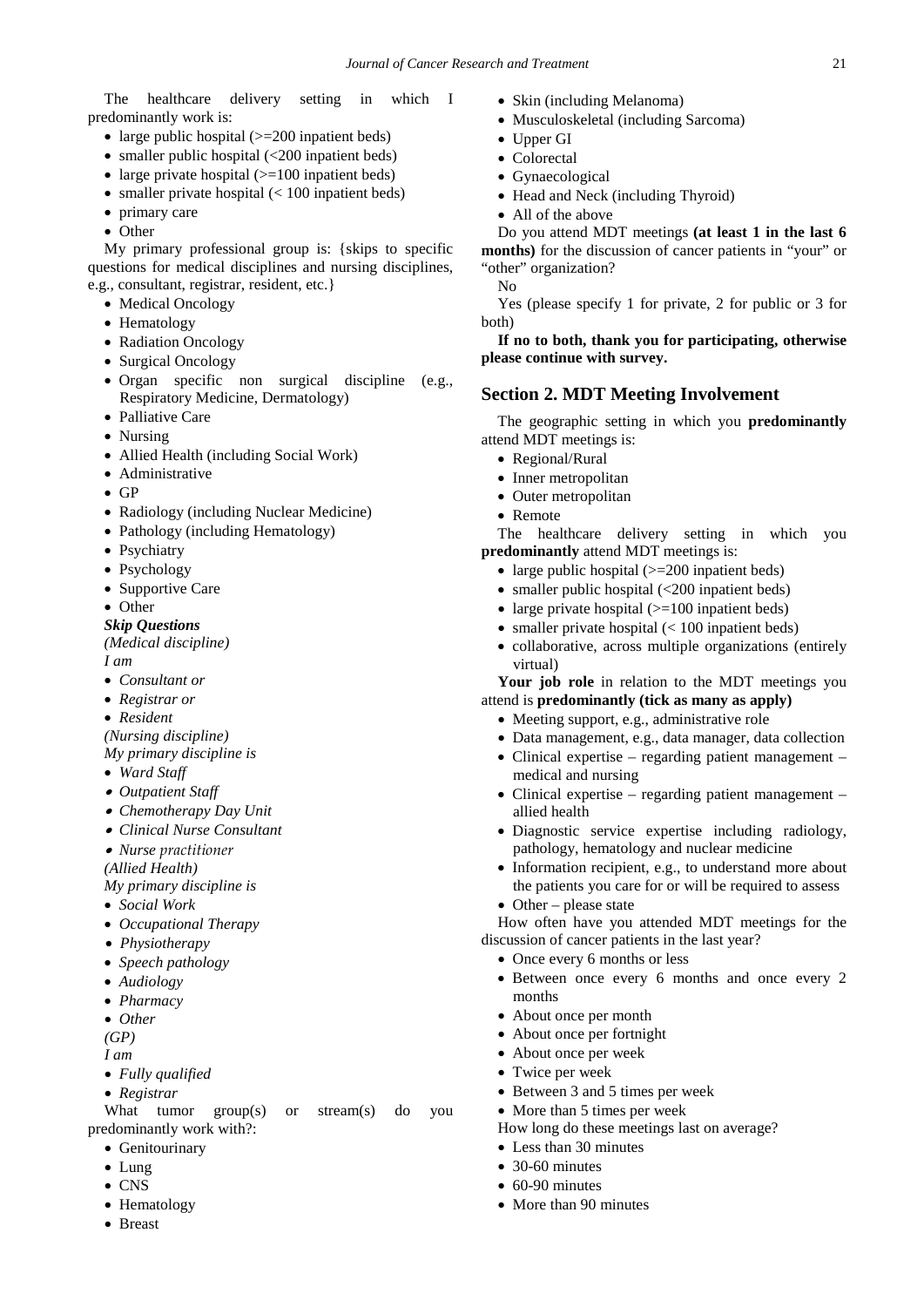The healthcare delivery setting in which I predominantly work is:

- large public hospital ( $>=$  200 inpatient beds)
- smaller public hospital (<200 inpatient beds)
- large private hospital  $(>=100$  inpatient beds)
- smaller private hospital (< 100 inpatient beds)
- primary care
- Other

My primary professional group is: {skips to specific questions for medical disciplines and nursing disciplines, e.g., consultant, registrar, resident, etc.}

- Medical Oncology
- Hematology
- Radiation Oncology
- Surgical Oncology
- Organ specific non surgical discipline (e.g., Respiratory Medicine, Dermatology)
- Palliative Care
- Nursing
- Allied Health (including Social Work)
- Administrative
- GP
- Radiology (including Nuclear Medicine)
- Pathology (including Hematology)
- Psychiatry
- Psychology
- Supportive Care
- Other
- *Skip Questions*

*(Medical discipline)*

*I am*

- *Consultant or*
- *Registrar or*
- *Resident*

*(Nursing discipline)*

*My primary discipline is*

- *Ward Staff*
- *Outpatient Staff*
- *Chemotherapy Day Unit*
- *Clinical Nurse Consultant*
- *Nurse practitioner*
- *(Allied Health)*
- *My primary discipline is*
- *Social Work*
- *Occupational Therapy*
- *Physiotherapy*
- *Speech pathology*
- *Audiology*
- *Pharmacy*
- *Other*

*(GP)*

*I am*

- *Fully qualified*
- *Registrar*

What tumor group(s) or stream(s) do you predominantly work with?:

- Genitourinary
- Lung
- CNS
- Hematology
- Breast
- Skin (including Melanoma)
- Musculoskeletal (including Sarcoma)
- Upper GI
- Colorectal
- Gynaecological
- Head and Neck (including Thyroid)
- All of the above

Do you attend MDT meetings **(at least 1 in the last 6 months)** for the discussion of cancer patients in "your" or "other" organization?

No

Yes (please specify 1 for private, 2 for public or 3 for both)

**If no to both, thank you for participating, otherwise please continue with survey.**

#### **Section 2. MDT Meeting Involvement**

The geographic setting in which you **predominantly** attend MDT meetings is:

- Regional/Rural
- Inner metropolitan
- Outer metropolitan
- Remote

The healthcare delivery setting in which you **predominantly** attend MDT meetings is:

- large public hospital  $(>=200$  inpatient beds)
- smaller public hospital (<200 inpatient beds)
- large private hospital  $(>=100$  inpatient beds)
- smaller private hospital  $(< 100$  inpatient beds)
- collaborative, across multiple organizations (entirely virtual)

**Your job role** in relation to the MDT meetings you attend is **predominantly (tick as many as apply)**

- Meeting support, e.g., administrative role
- Data management, e.g., data manager, data collection
- Clinical expertise regarding patient management medical and nursing
- Clinical expertise regarding patient management allied health
- Diagnostic service expertise including radiology, pathology, hematology and nuclear medicine
- Information recipient, e.g., to understand more about the patients you care for or will be required to assess
- Other please state

How often have you attended MDT meetings for the discussion of cancer patients in the last year?

- Once every 6 months or less
- Between once every 6 months and once every 2 months
- About once per month
- About once per fortnight
- About once per week
- Twice per week
- Between 3 and 5 times per week
- More than 5 times per week

How long do these meetings last on average?

• Less than 30 minutes

• More than 90 minutes

• 30-60 minutes  $\bullet$  60-90 minutes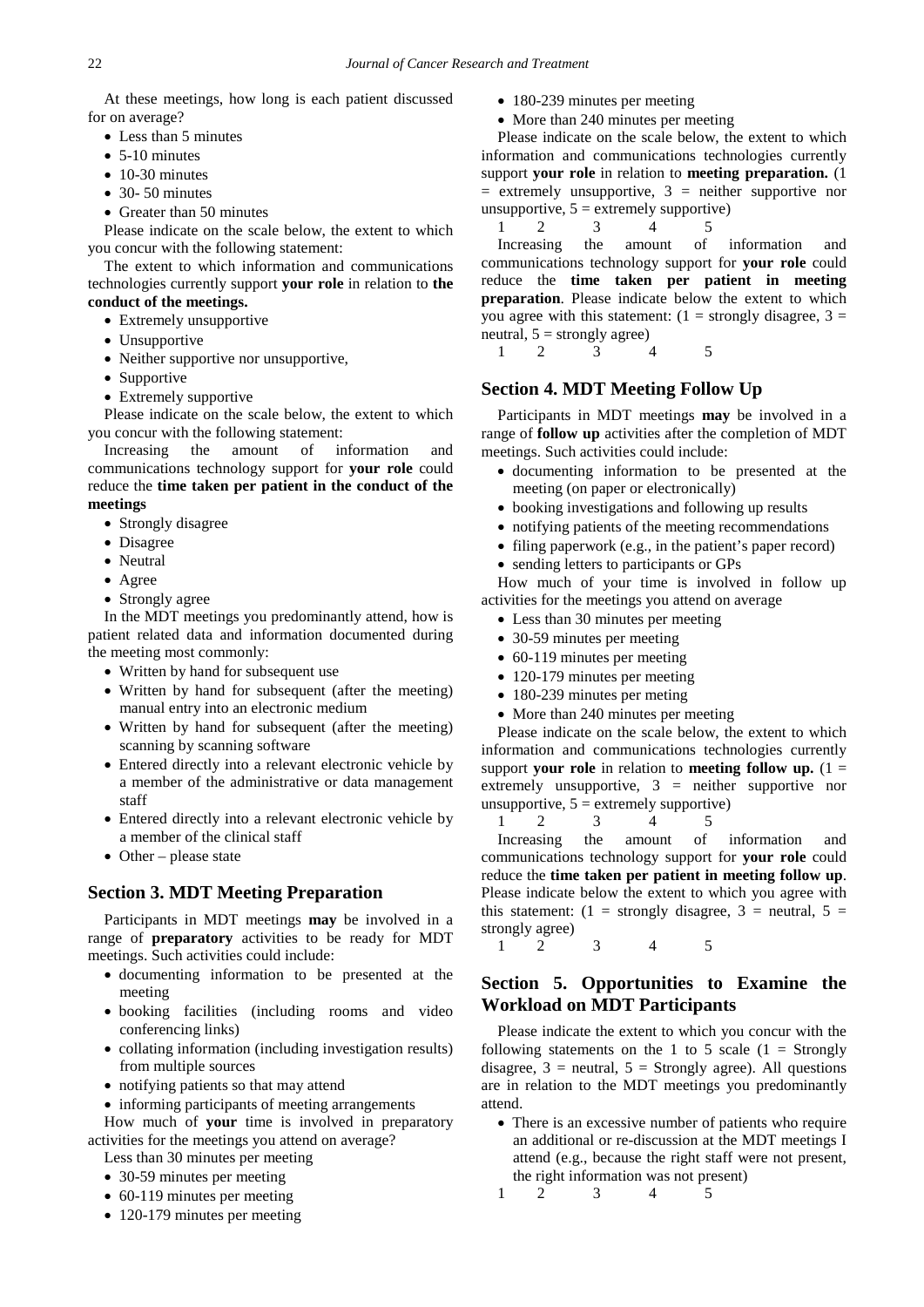At these meetings, how long is each patient discussed for on average?

- Less than 5 minutes
- 5-10 minutes
- 10-30 minutes
- $\bullet$  30- 50 minutes
- Greater than 50 minutes

Please indicate on the scale below, the extent to which you concur with the following statement:

The extent to which information and communications technologies currently support **your role** in relation to **the conduct of the meetings.**

- Extremely unsupportive
- Unsupportive
- Neither supportive nor unsupportive,
- Supportive
- Extremely supportive

Please indicate on the scale below, the extent to which you concur with the following statement:

Increasing the amount of information and communications technology support for **your role** could reduce the **time taken per patient in the conduct of the meetings**

- Strongly disagree
- Disagree
- Neutral
- Agree
- Strongly agree

In the MDT meetings you predominantly attend, how is patient related data and information documented during the meeting most commonly:

- Written by hand for subsequent use
- Written by hand for subsequent (after the meeting) manual entry into an electronic medium
- Written by hand for subsequent (after the meeting) scanning by scanning software
- Entered directly into a relevant electronic vehicle by a member of the administrative or data management staff
- Entered directly into a relevant electronic vehicle by a member of the clinical staff
- Other please state

#### **Section 3. MDT Meeting Preparation**

Participants in MDT meetings **may** be involved in a range of **preparatory** activities to be ready for MDT meetings. Such activities could include:

- documenting information to be presented at the meeting
- booking facilities (including rooms and video conferencing links)
- collating information (including investigation results) from multiple sources
- notifying patients so that may attend
- informing participants of meeting arrangements

How much of **your** time is involved in preparatory activities for the meetings you attend on average?

- Less than 30 minutes per meeting
- 30-59 minutes per meeting
- 60-119 minutes per meeting
- 120-179 minutes per meeting
- 180-239 minutes per meeting
- More than 240 minutes per meeting

Please indicate on the scale below, the extent to which information and communications technologies currently support **your role** in relation to **meeting preparation.** (1  $=$  extremely unsupportive,  $3 =$  neither supportive nor unsupportive,  $5 =$  extremely supportive)

1 2 3 4 5

Increasing the amount of information and communications technology support for **your role** could reduce the **time taken per patient in meeting preparation**. Please indicate below the extent to which you agree with this statement:  $(1 =$  strongly disagree,  $3 =$ neutral,  $5 =$  strongly agree)

1 2 3 4 5

# **Section 4. MDT Meeting Follow Up**

Participants in MDT meetings **may** be involved in a range of **follow up** activities after the completion of MDT meetings. Such activities could include:

- documenting information to be presented at the meeting (on paper or electronically)
- booking investigations and following up results
- notifying patients of the meeting recommendations
- filing paperwork (e.g., in the patient's paper record)
- sending letters to participants or GPs

How much of your time is involved in follow up activities for the meetings you attend on average

- Less than 30 minutes per meeting
- 30-59 minutes per meeting
- 60-119 minutes per meeting
- 120-179 minutes per meeting
- 180-239 minutes per meting
- More than 240 minutes per meeting

Please indicate on the scale below, the extent to which information and communications technologies currently support **your role** in relation to **meeting follow up.**  $(1 =$ extremely unsupportive, 3 = neither supportive nor unsupportive,  $5 =$  extremely supportive)

1 2 3 4 5 Increasing the amount of information and communications technology support for **your role** could reduce the **time taken per patient in meeting follow up**. Please indicate below the extent to which you agree with this statement:  $(1 =$  strongly disagree,  $3 =$  neutral,  $5 =$ strongly agree)

1 2 3 4 5

## **Section 5. Opportunities to Examine the Workload on MDT Participants**

Please indicate the extent to which you concur with the following statements on the 1 to 5 scale  $(1 = \text{Strongly})$ disagree,  $3$  = neutral,  $5$  = Strongly agree). All questions are in relation to the MDT meetings you predominantly attend.

- There is an excessive number of patients who require an additional or re-discussion at the MDT meetings I attend (e.g., because the right staff were not present, the right information was not present)
- 1 2 3 4 5